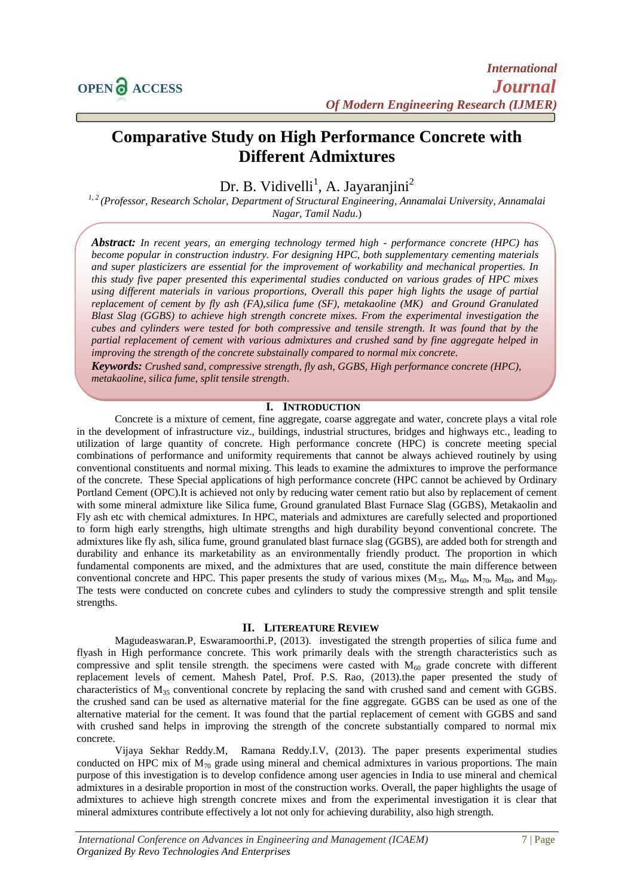# **Comparative Study on High Performance Concrete with Different Admixtures**

## Dr. B. Vidivelli<sup>1</sup>, A. Jayaranjini<sup>2</sup>

*1, 2 (Professor, Research Scholar, Department of Structural Engineering, Annamalai University, Annamalai Nagar, Tamil Nadu*.)

*Abstract: In recent years, an emerging technology termed high - performance concrete (HPC) has become popular in construction industry. For designing HPC, both supplementary cementing materials and super plasticizers are essential for the improvement of workability and mechanical properties. In this study five paper presented this experimental studies conducted on various grades of HPC mixes using different materials in various proportions, Overall this paper high lights the usage of partial replacement of cement by fly ash (FA),silica fume (SF), metakaoline (MK) and Ground Granulated Blast Slag (GGBS) to achieve high strength concrete mixes. From the experimental investigation the cubes and cylinders were tested for both compressive and tensile strength. It was found that by the partial replacement of cement with various admixtures and crushed sand by fine aggregate helped in improving the strength of the concrete substainally compared to normal mix concrete.*

*Keywords: Crushed sand, compressive strength, fly ash, GGBS, High performance concrete (HPC), metakaoline, silica fume, split tensile strength*.

### **I. INTRODUCTION**

Concrete is a mixture of cement, fine aggregate, coarse aggregate and water, concrete plays a vital role in the development of infrastructure viz., buildings, industrial structures, bridges and highways etc., leading to utilization of large quantity of concrete. High performance concrete (HPC) is concrete meeting special combinations of performance and uniformity requirements that cannot be always achieved routinely by using conventional constituents and normal mixing. This leads to examine the admixtures to improve the performance of the concrete. These Special applications of high performance concrete (HPC cannot be achieved by Ordinary Portland Cement (OPC).It is achieved not only by reducing water cement ratio but also by replacement of cement with some mineral admixture like Silica fume, Ground granulated Blast Furnace Slag (GGBS), Metakaolin and Fly ash etc with chemical admixtures. In HPC, materials and admixtures are carefully selected and proportioned to form high early strengths, high ultimate strengths and high durability beyond conventional concrete. The admixtures like fly ash, silica fume, ground granulated blast furnace slag (GGBS), are added both for strength and durability and enhance its marketability as an environmentally friendly product. The proportion in which fundamental components are mixed, and the admixtures that are used, constitute the main difference between conventional concrete and HPC. This paper presents the study of various mixes  $(M_{35}, M_{60}, M_{70}, M_{80}, and M_{90})$ . The tests were conducted on concrete cubes and cylinders to study the compressive strength and split tensile strengths.

#### **II. LITEREATURE REVIEW**

Magudeaswaran.P, Eswaramoorthi.P, (2013). investigated the strength properties of silica fume and flyash in High performance concrete. This work primarily deals with the strength characteristics such as compressive and split tensile strength. the specimens were casted with  $M_{60}$  grade concrete with different replacement levels of cement. Mahesh Patel, Prof. P.S. Rao, (2013).the paper presented the study of characteristics of  $M_{35}$  conventional concrete by replacing the sand with crushed sand and cement with GGBS. the crushed sand can be used as alternative material for the fine aggregate. GGBS can be used as one of the alternative material for the cement. It was found that the partial replacement of cement with GGBS and sand with crushed sand helps in improving the strength of the concrete substantially compared to normal mix concrete.

Vijaya Sekhar Reddy.M, Ramana Reddy.I.V, (2013). The paper presents experimental studies conducted on HPC mix of  $M_{70}$  grade using mineral and chemical admixtures in various proportions. The main purpose of this investigation is to develop confidence among user agencies in India to use mineral and chemical admixtures in a desirable proportion in most of the construction works. Overall, the paper highlights the usage of admixtures to achieve high strength concrete mixes and from the experimental investigation it is clear that mineral admixtures contribute effectively a lot not only for achieving durability, also high strength.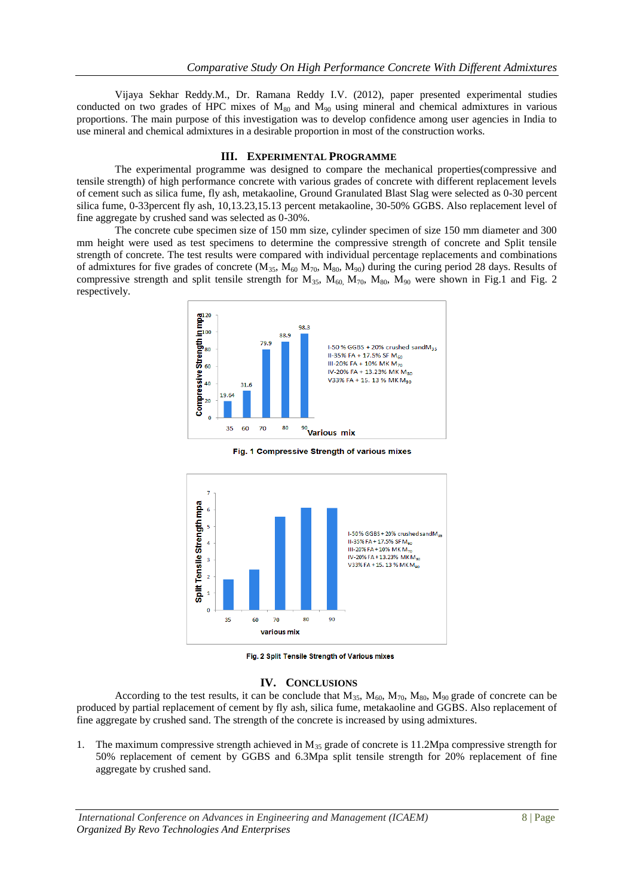Vijaya Sekhar Reddy.M., Dr. Ramana Reddy I.V. (2012), paper presented experimental studies conducted on two grades of HPC mixes of  $M_{80}$  and  $M_{90}$  using mineral and chemical admixtures in various proportions. The main purpose of this investigation was to develop confidence among user agencies in India to use mineral and chemical admixtures in a desirable proportion in most of the construction works.

#### **III. EXPERIMENTAL PROGRAMME**

The experimental programme was designed to compare the mechanical properties(compressive and tensile strength) of high performance concrete with various grades of concrete with different replacement levels of cement such as silica fume, fly ash, metakaoline, Ground Granulated Blast Slag were selected as 0-30 percent silica fume, 0-33percent fly ash, 10,13.23,15.13 percent metakaoline, 30-50% GGBS. Also replacement level of fine aggregate by crushed sand was selected as 0-30%.

The concrete cube specimen size of 150 mm size, cylinder specimen of size 150 mm diameter and 300 mm height were used as test specimens to determine the compressive strength of concrete and Split tensile strength of concrete. The test results were compared with individual percentage replacements and combinations of admixtures for five grades of concrete  $(M_{35}, M_{60} M_{70}, M_{80}, M_{90})$  during the curing period 28 days. Results of compressive strength and split tensile strength for  $M_{35}$ ,  $M_{60}$ ,  $M_{70}$ ,  $M_{80}$ ,  $M_{90}$  were shown in Fig.1 and Fig. 2 respectively.



Fig. 1 Compressive Strength of various mixes



Fig. 2 Split Tensile Strength of Various mixes

#### **IV. CONCLUSIONS**

According to the test results, it can be conclude that  $M_{35}$ ,  $M_{60}$ ,  $M_{70}$ ,  $M_{80}$ ,  $M_{90}$  grade of concrete can be produced by partial replacement of cement by fly ash, silica fume, metakaoline and GGBS. Also replacement of fine aggregate by crushed sand. The strength of the concrete is increased by using admixtures.

1. The maximum compressive strength achieved in  $M_{35}$  grade of concrete is 11.2Mpa compressive strength for 50% replacement of cement by GGBS and 6.3Mpa split tensile strength for 20% replacement of fine aggregate by crushed sand.

*International Conference on Advances in Engineering and Management (ICAEM)* 8 | Page *Organized By Revo Technologies And Enterprises*